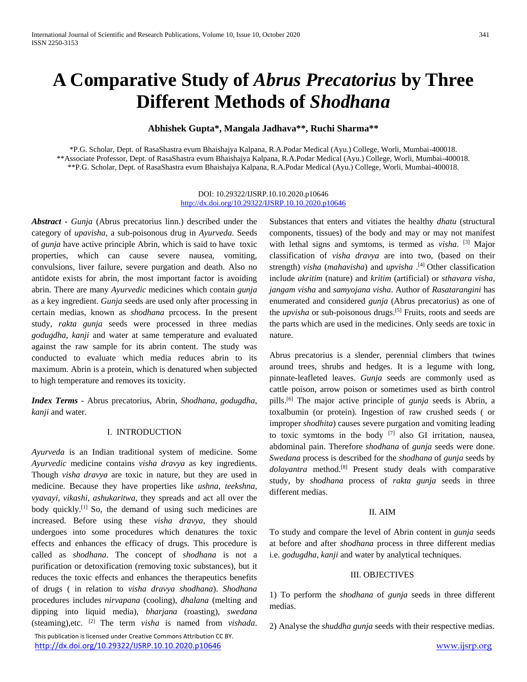# **A Comparative Study of** *Abrus Precatorius* **by Three Different Methods of** *Shodhana*

# **Abhishek Gupta\*, Mangala Jadhava\*\*, Ruchi Sharma\*\***

\*P.G. Scholar, Dept. of RasaShastra evum Bhaishajya Kalpana, R.A.Podar Medical (Ayu.) College, Worli, Mumbai-400018. \*\*Associate Professor, Dept. of RasaShastra evum Bhaishajya Kalpana, R.A.Podar Medical (Ayu.) College, Worli, Mumbai-400018. \*\*P.G. Scholar, Dept. of RasaShastra evum Bhaishajya Kalpana, R.A.Podar Medical (Ayu.) College, Worli, Mumbai-400018.

#### DOI: 10.29322/IJSRP.10.10.2020.p10646 <http://dx.doi.org/10.29322/IJSRP.10.10.2020.p10646>

*Abstract* **-** *Gunja* (Abrus precatorius linn.) described under the category of *upavisha,* a sub-poisonous drug in *Ayurveda*. Seeds of *gunja* have active principle Abrin, which is said to have toxic properties, which can cause severe nausea, vomiting, convulsions, liver failure, severe purgation and death. Also no antidote exists for abrin, the most important factor is avoiding abrin. There are many *Ayurvedic* medicines which contain *gunja* as a key ingredient. *Gunja* seeds are used only after processing in certain medias, known as *shodhana* prcocess. In the present study, *rakta gunja* seeds were processed in three medias *godugdha*, *kanji* and water at same temperature and evaluated against the raw sample for its abrin content. The study was conducted to evaluate which media reduces abrin to its maximum. Abrin is a protein, which is denatured when subjected to high temperature and removes its toxicity.

*Index Terms* - Abrus precatorius, Abrin, *Shodhana*, *godugdha*, *kanji* and water.

# I. INTRODUCTION

*Ayurveda* is an Indian traditional system of medicine. Some *Ayurvedic* medicine contains *visha dravya* as key ingredients. Though *visha dravya* are toxic in nature, but they are used in medicine. Because they have properties like *ushna*, *teekshna*, *vyavayi*, *vikashi*, *ashukaritwa*, they spreads and act all over the body quickly.<sup>[1]</sup> So, the demand of using such medicines are increased. Before using these *visha dravya*, they should undergoes into some procedures which denatures the toxic effects and enhances the efficacy of drugs. This procedure is called as *shodhana*. The concept of *shodhana* is not a purification or detoxification (removing toxic substances), but it reduces the toxic effects and enhances the therapeutics benefits of drugs ( in relation to *visha dravya shodhana*). *Shodhana* procedures includes *nirvapana* (cooling), *dhalana* (melting and dipping into liquid media), *bharjana* (roasting), *swedana* (steaming),etc. [2] The term *visha* is named from *vishada*.

 This publication is licensed under Creative Commons Attribution CC BY. <http://dx.doi.org/10.29322/IJSRP.10.10.2020.p10646> [www.ijsrp.org](http://ijsrp.org/)

Substances that enters and vitiates the healthy *dhatu* (structural components, tissues) of the body and may or may not manifest with lethal signs and symtoms, is termed as *visha*. [3] Major classification of *visha dravya* are into two, (based on their strength) *visha* (*mahavisha*) and *upvisha* . [4] Other classification include *akritim* (nature) and *kritim* (artificial) or *sthavara visha*, *jangam visha* and *samyojana visha*. Author of *Rasatarangini* has enumerated and considered *gunja* (Abrus precatorius) as one of the *upvisha* or sub-poisonous drugs.[5] Fruits, roots and seeds are the parts which are used in the medicines. Only seeds are toxic in nature.

Abrus precatorius is a slender, perennial climbers that twines around trees, shrubs and hedges. It is a legume with long, pinnate-leafleted leaves. *Gunja* seeds are commonly used as cattle poison, arrow poison or sometimes used as birth control pills. [6] The major active principle of *gunja* seeds is Abrin, a toxalbumin (or protein). Ingestion of raw crushed seeds ( or improper *shodhita*) causes severe purgation and vomiting leading to toxic symtoms in the body  $[7]$  also GI irritation, nausea, abdominal pain. Therefore *shodhana* of *gunja* seeds were done. *Swedana* process is described for the *shodhana* of *gunja* seeds by *dolayantra* method.[8] Present study deals with comparative study, by *shodhana* process of *rakta gunja* seeds in three different medias.

# II. AIM

To study and compare the level of Abrin content in *gunja* seeds at before and after *shodhana* process in three different medias i.e. *godugdha*, *kanji* and water by analytical techniques.

# III. OBJECTIVES

1) To perform the *shodhana* of *gunja* seeds in three different medias.

2) Analyse the *shuddha gunja* seeds with their respective medias.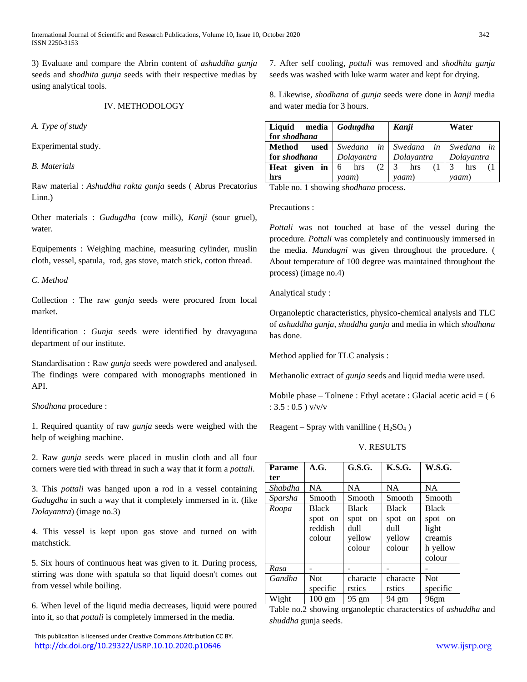International Journal of Scientific and Research Publications, Volume 10, Issue 10, October 2020 342 ISSN 2250-3153

3) Evaluate and compare the Abrin content of *ashuddha gunja* seeds and *shodhita gunja* seeds with their respective medias by using analytical tools.

#### IV. METHODOLOGY

*A. Type of study*

Experimental study.

*B. Materials* 

Raw material : *Ashuddha rakta gunja* seeds ( Abrus Precatorius Linn.)

Other materials : *Gudugdha* (cow milk), *Kanji* (sour gruel), water.

Equipements : Weighing machine, measuring cylinder, muslin cloth, vessel, spatula, rod, gas stove, match stick, cotton thread.

*C. Method*

Collection : The raw *gunja* seeds were procured from local market.

Identification : *Gunja* seeds were identified by dravyaguna department of our institute.

Standardisation : Raw *gunja* seeds were powdered and analysed. The findings were compared with monographs mentioned in API.

# *Shodhana* procedure :

1. Required quantity of raw *gunja* seeds were weighed with the help of weighing machine.

2. Raw *gunja* seeds were placed in muslin cloth and all four corners were tied with thread in such a way that it form a *pottali*.

3. This *pottali* was hanged upon a rod in a vessel containing *Gudugdha* in such a way that it completely immersed in it. (like *Dolayantra*) (image no.3)

4. This vessel is kept upon gas stove and turned on with matchstick.

5. Six hours of continuous heat was given to it. During process, stirring was done with spatula so that liquid doesn't comes out from vessel while boiling.

6. When level of the liquid media decreases, liquid were poured into it, so that *pottali* is completely immersed in the media.

 This publication is licensed under Creative Commons Attribution CC BY. <http://dx.doi.org/10.29322/IJSRP.10.10.2020.p10646> [www.ijsrp.org](http://ijsrp.org/)

7. After self cooling, *pottali* was removed and *shodhita gunja* seeds was washed with luke warm water and kept for drying.

8. Likewise, *shodhana* of *gunja* seeds were done in *kanji* media and water media for 3 hours.

| Liquid                                                          | media Godugdha | Kanji                            | Water      |
|-----------------------------------------------------------------|----------------|----------------------------------|------------|
| for shodhana                                                    |                |                                  |            |
| used<br>Method                                                  |                | Swedana in Swedana in Swedana in |            |
| for shodhana                                                    | Dolavantra     | Dolayantra                       | Dolayantra |
| <b>Heat given in</b> $\begin{bmatrix} 6 \\ 1 \end{bmatrix}$ hrs | (2)            | 3<br>hrs                         | 3<br>hrs   |
| hrs                                                             | yaam)          | yaam)                            | yaam)      |

Table no. 1 showing *shodhana* process.

Precautions :

*Pottali* was not touched at base of the vessel during the procedure. *Pottali* was completely and continuously immersed in the media. *Mandagni* was given throughout the procedure. ( About temperature of 100 degree was maintained throughout the process) (image no.4)

Analytical study :

Organoleptic characteristics, physico-chemical analysis and TLC of *ashuddha gunja*, *shuddha gunja* and media in which *shodhana* has done.

Method applied for TLC analysis :

Methanolic extract of *gunja* seeds and liquid media were used.

Mobile phase – Tolnene : Ethyl acetate : Glacial acetic acid  $=$  (6) :  $3.5:0.5$ ) v/v/v

Reagent – Spray with vanilline ( $H_2SO_4$ )

V. RESULTS

| <b>Parame</b> | A.G.                                         | G.S.G.                                              | K.S.G.                                              | <b>W.S.G.</b>                                                     |
|---------------|----------------------------------------------|-----------------------------------------------------|-----------------------------------------------------|-------------------------------------------------------------------|
| ter           |                                              |                                                     |                                                     |                                                                   |
| Shabdha       | <b>NA</b>                                    | <b>NA</b>                                           | <b>NA</b>                                           | <b>NA</b>                                                         |
| Sparsha       | Smooth                                       | Smooth                                              | Smooth                                              | Smooth                                                            |
| Roopa         | <b>Black</b><br>spot on<br>reddish<br>colour | <b>Black</b><br>spot on<br>dull<br>yellow<br>colour | <b>Black</b><br>spot on<br>dull<br>yellow<br>colour | <b>Black</b><br>spot on<br>light<br>creamis<br>h yellow<br>colour |
| Rasa          |                                              |                                                     |                                                     |                                                                   |
| Gandha        | <b>Not</b><br>specific                       | characte<br>rstics                                  | characte<br>rstics                                  | <b>Not</b><br>specific                                            |
| Wight         | $100 \text{ gm}$                             | $95 \text{ gm}$                                     | 94 gm                                               | 96 <sub>gm</sub>                                                  |

Table no.2 showing organoleptic characterstics of *ashuddha* and *shuddha* gunja seeds.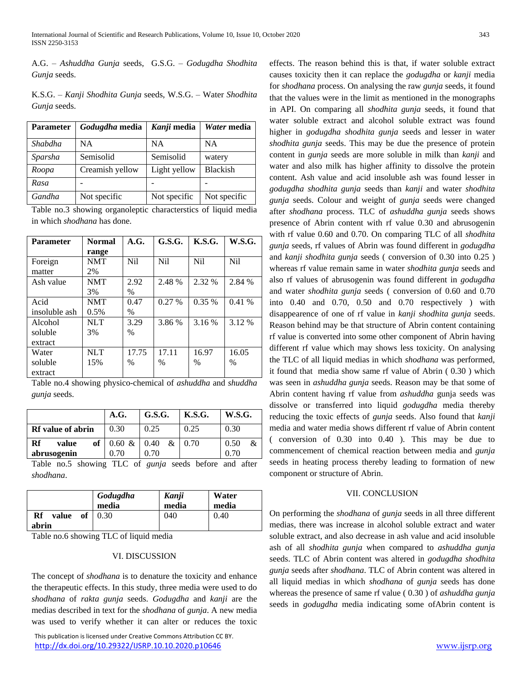A.G. – *Ashuddha Gunja* seeds, G.S.G. – *Godugdha Shodhita Gunja* seeds.

K.S.G. – *Kanji Shodhita Gunja* seeds, W.S.G. – Water *Shodhita Gunja* seeds.

| <b>Parameter</b> | Godugdha media  | Kanji media  | Water media     |
|------------------|-----------------|--------------|-----------------|
| Shabdha          | NA.             | NΑ           | <b>NA</b>       |
| Sparsha          | Semisolid       | Semisolid    | watery          |
| Roopa            | Creamish yellow | Light yellow | <b>Blackish</b> |
| Rasa             |                 |              |                 |
| Gandha           | Not specific    | Not specific | Not specific    |

|  |                                    | Table no.3 showing organoleptic characterstics of liquid media |  |  |
|--|------------------------------------|----------------------------------------------------------------|--|--|
|  | in which <i>shodhana</i> has done. |                                                                |  |  |

| <b>Parameter</b> | <b>Normal</b> | A.G.             | G.S.G. | K.S.G.           | <b>W.S.G.</b> |
|------------------|---------------|------------------|--------|------------------|---------------|
|                  | range         |                  |        |                  |               |
| Foreign          | <b>NMT</b>    | N <sub>i</sub> l | Nil    | N <sub>i</sub> l | Nil           |
| matter           | 2%            |                  |        |                  |               |
| Ash value        | <b>NMT</b>    | 2.92             | 2.48 % | 2.32 %           | 2.84 %        |
|                  | 3%            | $\%$             |        |                  |               |
| Acid             | <b>NMT</b>    | 0.47             | 0.27%  | 0.35 %           | 0.41%         |
| insoluble ash    | 0.5%          | $\%$             |        |                  |               |
| Alcohol          | <b>NLT</b>    | 3.29             | 3.86 % | 3.16 %           | 3.12 %        |
| soluble          | 3%            | $\frac{0}{0}$    |        |                  |               |
| extract          |               |                  |        |                  |               |
| Water            | NI.T          | 17.75            | 17.11  | 16.97            | 16.05         |
| soluble          | 15%           | %                | $\%$   | %                | $\frac{0}{0}$ |
| extract          |               |                  |        |                  |               |

Table no.4 showing physico-chemical of *ashuddha* and *shuddha gunja* seeds.

|                            | A.G.                      | G.S.G.   | <b>K.S.G.</b> | <b>W.S.G.</b> |
|----------------------------|---------------------------|----------|---------------|---------------|
| <b>Rf</b> value of abrin   | 0.30                      | 0.25     | 0.25          | 0.30          |
| Rf<br>value<br>abrusogenin | of $0.60 \& 0.40$<br>0.70 | &<br>070 | 0.70          | 0.50<br>0.70  |

Table no.5 showing TLC of *gunja* seeds before and after *shodhana*.

|                   | Godugdha<br>media | Kanji<br>media | Water<br>media |
|-------------------|-------------------|----------------|----------------|
| Rf<br>value<br>of | 0.30              | 040            | 0.40           |
| abrin             |                   |                |                |

Table no.6 showing TLC of liquid media

#### VI. DISCUSSION

The concept of *shodhana* is to denature the toxicity and enhance the therapeutic effects. In this study, three media were used to do *shodhana* of *rakta gunja* seeds. *Godugdha* and *kanji* are the medias described in text for the *shodhana* of *gunja*. A new media was used to verify whether it can alter or reduces the toxic

 This publication is licensed under Creative Commons Attribution CC BY. <http://dx.doi.org/10.29322/IJSRP.10.10.2020.p10646> [www.ijsrp.org](http://ijsrp.org/)

effects. The reason behind this is that, if water soluble extract causes toxicity then it can replace the *godugdha* or *kanji* media for *shodhana* process. On analysing the raw *gunja* seeds, it found that the values were in the limit as mentioned in the monographs in API. On comparing all *shodhita gunja* seeds, it found that water soluble extract and alcohol soluble extract was found higher in *godugdha shodhita gunja* seeds and lesser in water *shodhita gunja* seeds. This may be due the presence of protein content in *gunja* seeds are more soluble in milk than *kanji* and water and also milk has higher affinity to dissolve the protein content. Ash value and acid insoluble ash was found lesser in *godugdha shodhita gunja* seeds than *kanji* and water *shodhita gunja* seeds. Colour and weight of *gunja* seeds were changed after *shodhana* process. TLC of *ashuddha gunja* seeds shows presence of Abrin content with rf value 0.30 and abrusogenin with rf value 0.60 and 0.70. On comparing TLC of all *shodhita gunja* seeds, rf values of Abrin was found different in *godugdha* and *kanji shodhita gunja* seeds ( conversion of 0.30 into 0.25 ) whereas rf value remain same in water *shodhita gunja* seeds and also rf values of abrusogenin was found different in *godugdha* and water *shodhita gunja* seeds ( conversion of 0.60 and 0.70 into 0.40 and 0.70, 0.50 and 0.70 respectively ) with disappearence of one of rf value in *kanji shodhita gunja* seeds. Reason behind may be that structure of Abrin content containing rf value is converted into some other component of Abrin having different rf value which may shows less toxicity. On analysing the TLC of all liquid medias in which *shodhana* was performed, it found that media show same rf value of Abrin ( 0.30 ) which was seen in *ashuddha gunja* seeds. Reason may be that some of Abrin content having rf value from *ashuddha* gunja seeds was dissolve or transferred into liquid *godugdha* media thereby reducing the toxic effects of *gunja* seeds. Also found that *kanji* media and water media shows different rf value of Abrin content ( conversion of 0.30 into 0.40 ). This may be due to commencement of chemical reaction between media and *gunja* seeds in heating process thereby leading to formation of new component or structure of Abrin.

#### VII. CONCLUSION

On performing the *shodhana* of *gunja* seeds in all three different medias, there was increase in alcohol soluble extract and water soluble extract, and also decrease in ash value and acid insoluble ash of all *shodhita gunja* when compared to *ashuddha gunja* seeds. TLC of Abrin content was altered in *godugdha shodhita gunja* seeds after *shodhana*. TLC of Abrin content was altered in all liquid medias in which *shodhana* of *gunja* seeds has done whereas the presence of same rf value ( 0.30 ) of *ashuddha gunja* seeds in *godugdha* media indicating some ofAbrin content is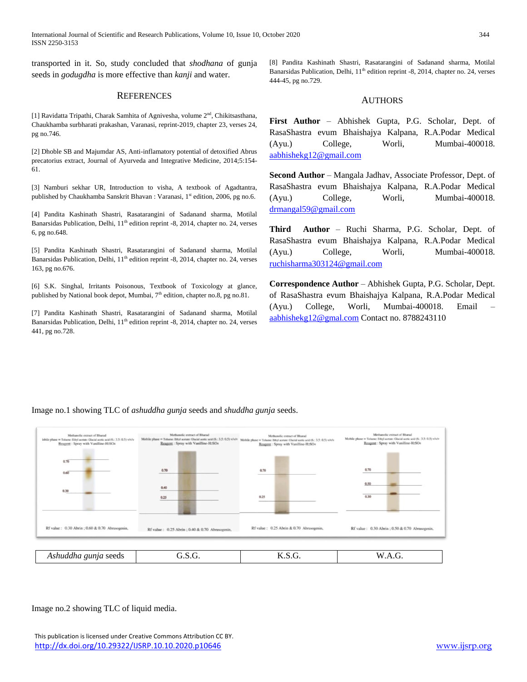International Journal of Scientific and Research Publications, Volume 10, Issue 10, October 2020 344 ISSN 2250-3153

transported in it. So, study concluded that *shodhana* of gunja seeds in *godugdha* is more effective than *kanji* and water.

## **REFERENCES**

[1] Ravidatta Tripathi, Charak Samhita of Agnivesha, volume 2<sup>nd</sup>, Chikitsasthana, Chaukhamba surbharati prakashan, Varanasi, reprint-2019, chapter 23, verses 24, pg no.746.

[2] Dhoble SB and Majumdar AS, Anti-inflamatory potential of detoxified Abrus precatorius extract, Journal of Ayurveda and Integrative Medicine, 2014;5:154- 61.

[3] Namburi sekhar UR, Introduction to visha, A textbook of Agadtantra, published by Chaukhamba Sanskrit Bhavan : Varanasi, 1<sup>st</sup> edition, 2006, pg no.6.

[4] Pandita Kashinath Shastri, Rasatarangini of Sadanand sharma, Motilal Banarsidas Publication, Delhi, 11<sup>th</sup> edition reprint -8, 2014, chapter no. 24, verses 6, pg no.648.

[5] Pandita Kashinath Shastri, Rasatarangini of Sadanand sharma, Motilal Banarsidas Publication, Delhi, 11<sup>th</sup> edition reprint -8, 2014, chapter no. 24, verses 163, pg no.676.

[6] S.K. Singhal, Irritants Poisonous, Textbook of Toxicology at glance, published by National book depot, Mumbai,  $7<sup>th</sup>$  edition, chapter no.8, pg no.81.

[7] Pandita Kashinath Shastri, Rasatarangini of Sadanand sharma, Motilal Banarsidas Publication, Delhi, 11<sup>th</sup> edition reprint -8, 2014, chapter no. 24, verses 441, pg no.728.

[8] Pandita Kashinath Shastri, Rasatarangini of Sadanand sharma, Motilal Banarsidas Publication, Delhi, 11<sup>th</sup> edition reprint -8, 2014, chapter no. 24, verses 444-45, pg no.729.

# AUTHORS

**First Author** – Abhishek Gupta, P.G. Scholar, Dept. of RasaShastra evum Bhaishajya Kalpana, R.A.Podar Medical (Ayu.) College, Worli, Mumbai-400018. [aabhishekg12@gmail.com](mailto:aabhishekg12@gmail.com)

**Second Author** – Mangala Jadhav, Associate Professor, Dept. of RasaShastra evum Bhaishajya Kalpana, R.A.Podar Medical (Ayu.) College, Worli, Mumbai-400018. [drmangal59@gmail.com](mailto:drmangal59@gmail.com)

**Third Author** – Ruchi Sharma, P.G. Scholar, Dept. of RasaShastra evum Bhaishajya Kalpana, R.A.Podar Medical (Ayu.) College, Worli, Mumbai-400018. [ruchisharma303124@gmail.com](mailto:ruchisharma303124@gmail.com)

**Correspondence Author** – Abhishek Gupta, P.G. Scholar, Dept. of RasaShastra evum Bhaishajya Kalpana, R.A.Podar Medical (Ayu.) College, Worli, Mumbai-400018. Email – [aabhishekg12@gmal.com](mailto:aabhishekg12@gmal.com) Contact no. 8788243110



Image no.1 showing TLC of *ashuddha gunja* seeds and *shuddha gunja* seeds.

Image no.2 showing TLC of liquid media.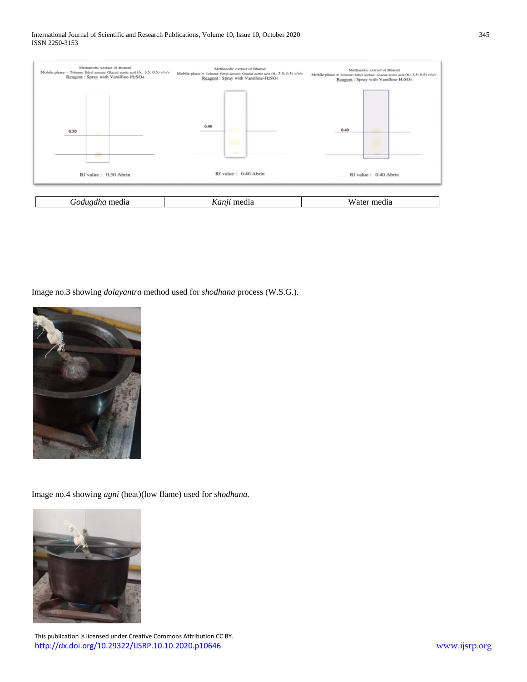

Image no.3 showing *dolayantra* method used for *shodhana* process (W.S.G.).



Image no.4 showing *agni* (heat)(low flame) used for *shodhana.*

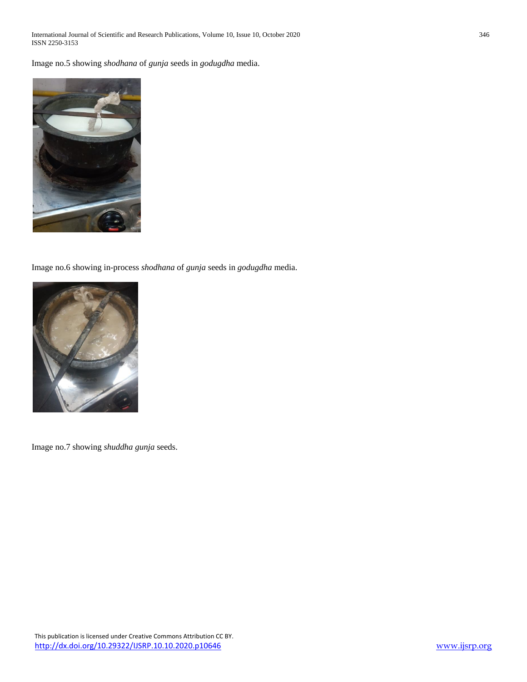International Journal of Scientific and Research Publications, Volume 10, Issue 10, October 2020 346 ISSN 2250-3153

Image no.5 showing *shodhana* of *gunja* seeds in *godugdha* media.



Image no.6 showing in-process *shodhana* of *gunja* seeds in *godugdha* media.



Image no.7 showing *shuddha gunja* seeds.